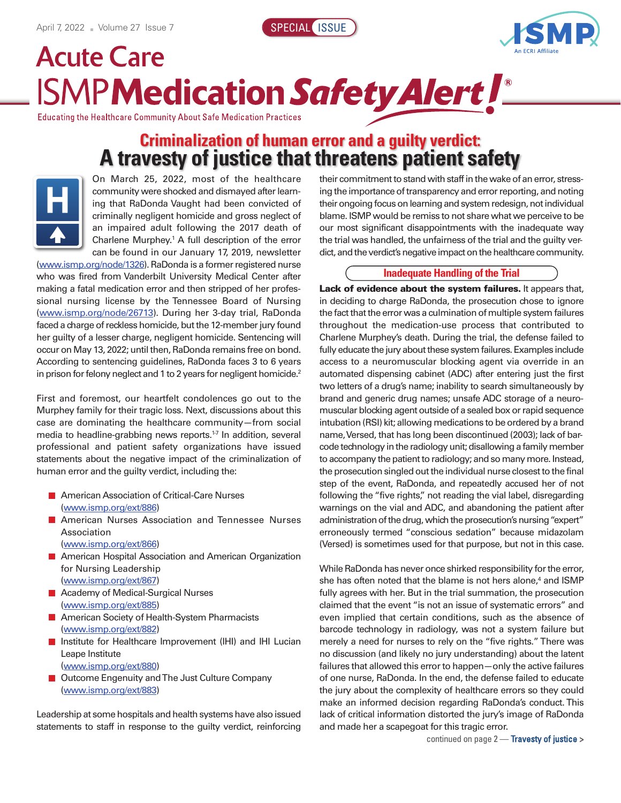



## **Acute Care ISMPMedication Safety Alert !**

**Educating the Healthcare Community About Safe Medication Practices** 

## **Criminalization of human error and a guilty verdict: A travesty of justice that threatens patient safety**



On March 25, 2022, most of the healthcare community were shocked and dismayed after learning that RaDonda Vaught had been convicted of criminally negligent homicide and gross neglect of an impaired adult following the 2017 death of Charlene Murphey. <sup>1</sup> A full description of the error can be found in our January 17, 2019, newsletter

(www.ismp.org/node/1326). RaDonda is a former registered nurse who was fired from Vanderbilt University Medical Center after making a fatal medication error and then stripped of her professional nursing license by the Tennessee Board of Nursing (www.ismp.org/node/26713). During her 3-day trial, RaDonda faced a charge of reckless homicide, but the 12-member jury found her guilty of a lesser charge, negligent homicide. Sentencing will occur on May 13, 2022; until then, RaDonda remains free on bond. According to sentencing guidelines, RaDonda faces 3 to 6 years in prison for felony neglect and 1 to 2 years for negligent homicide. $^2$ 

First and foremost, our heartfelt condolences go out to the Murphey family for their tragic loss. Next, discussions about this case are dominating the healthcare community—from social media to headline-grabbing news reports. 1-7 In addition, several professional and patient safety organizations have issued statements about the negative impact of the criminalization of human error and the guilty verdict, including the:

- **American Association of Critical-Care Nurses** (www.ismp.org/ext/886)
- **E** American Nurses Association and Tennessee Nurses Association
	- (www.ismp.org/ext/866)
- **American Hospital Association and American Organization** for Nursing Leadership (www.ismp.org/ext/867)
- Academy of Medical-Surgical Nurses (www.ismp.org/ext/885)
- **American Society of Health-System Pharmacists** (www.ismp.org/ext/882)
- Institute for Healthcare Improvement (IHI) and IHI Lucian П Leape Institute (www.ismp.org/ext/880)
- Outcome Engenuity and The Just Culture Company (www.ismp.org/ext/883)

Leadership at some hospitals and health systems have also issued statements to staff in response to the guilty verdict, reinforcing their commitment to stand with staff in the wake of an error, stressing the importance of transparency and error reporting, and noting their ongoing focus on learning and system redesign, not individual blame. ISMP would be remiss to not share what we perceive to be our most significant disappointments with the inadequate way the trial was handled, the unfairness of the trial and the guilty verdict, and the verdict's negative impact on the healthcare community.

## **Inadequate Handling of the Trial**

**Lack of evidence about the system failures.** It appears that, in deciding to charge RaDonda, the prosecution chose to ignore the fact that the error was a culmination of multiple system failures throughout the medication-use process that contributed to Charlene Murphey's death. During the trial, the defense failed to fully educate the jury about these system failures. Examples include access to a neuromuscular blocking agent via override in an automated dispensing cabinet (ADC) after entering just the first two letters of a drug's name; inability to search simultaneously by brand and generic drug names; unsafe ADC storage of a neuromuscular blocking agent outside of a sealed box or rapid sequence intubation (RSI) kit; allowing medications to be ordered by a brand name, Versed, that has long been discontinued (2003); lack of barcode technology in the radiology unit; disallowing a family member to accompany the patient to radiology; and so many more. Instead, the prosecution singled out the individual nurse closest to the final step of the event, RaDonda, and repeatedly accused her of not following the "five rights," not reading the vial label, disregarding warnings on the vial and ADC, and abandoning the patient after administration of the drug, which the prosecution's nursing "expert" erroneously termed "conscious sedation" because midazolam (Versed) is sometimes used for that purpose, but not in this case.

While RaDonda has never once shirked responsibility for the error, she has often noted that the blame is not hers alone, <sup>4</sup> and ISMP fully agrees with her. But in the trial summation, the prosecution claimed that the event "is not an issue of systematic errors" and even implied that certain conditions, such as the absence of barcode technology in radiology, was not a system failure but merely a need for nurses to rely on the "five rights." There was no discussion (and likely no jury understanding) about the latent failures that allowed this error to happen—only the active failures of one nurse, RaDonda. In the end, the defense failed to educate the jury about the complexity of healthcare errors so they could make an informed decision regarding RaDonda's conduct. This lack of critical information distorted the jury's image of RaDonda and made her a scapegoat for this tragic error.

continued on page 2 — Travesty of justice **>**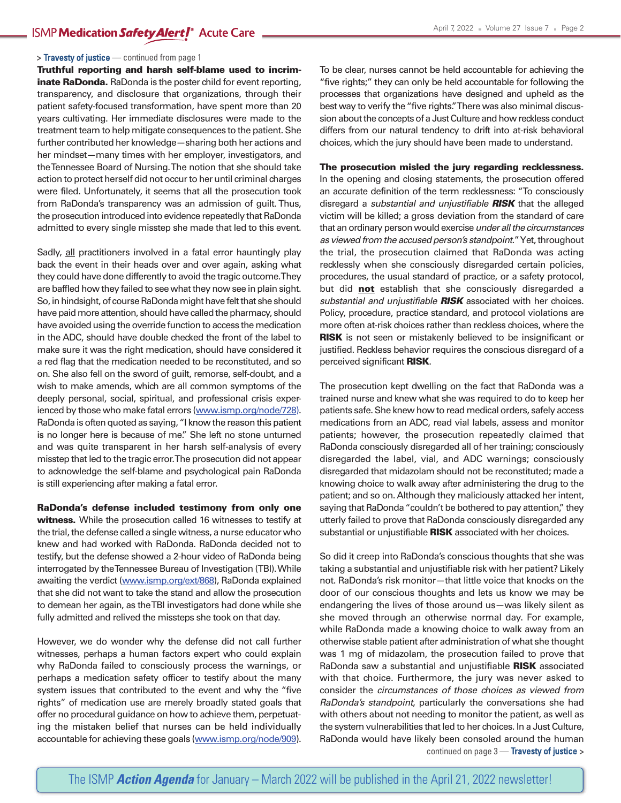### **>** Travesty of justice — continued from page 1

**Truthful reporting and harsh self-blame used to incriminate RaDonda.** RaDonda is the poster child for event reporting, transparency, and disclosure that organizations, through their patient safety-focused transformation, have spent more than 20 years cultivating. Her immediate disclosures were made to the treatment team to help mitigate consequences to the patient. She further contributed her knowledge—sharing both her actions and her mindset—many times with her employer, investigators, and theTennessee Board of Nursing.The notion that she should take action to protect herself did not occur to her until criminal charges were filed. Unfortunately, it seems that all the prosecution took from RaDonda's transparency was an admission of guilt. Thus, the prosecution introduced into evidence repeatedly that RaDonda admitted to every single misstep she made that led to this event.

Sadly, all practitioners involved in a fatal error hauntingly play back the event in their heads over and over again, asking what they could have done differently to avoid the tragic outcome.They are baffled how they failed to see what they now see in plain sight. So, in hindsight, of course RaDonda might have felt that she should have paid more attention, should have called the pharmacy, should have avoided using the override function to access the medication in the ADC, should have double checked the front of the label to make sure it was the right medication, should have considered it a red flag that the medication needed to be reconstituted, and so on. She also fell on the sword of guilt, remorse, self-doubt, and a wish to make amends, which are all common symptoms of the deeply personal, social, spiritual, and professional crisis experienced by those who make fatal errors (www.ismp.org/node/728). RaDonda is often quoted as saying, "I know the reason this patient is no longer here is because of me." She left no stone unturned and was quite transparent in her harsh self-analysis of every misstep that led to the tragic error.The prosecution did not appear to acknowledge the self-blame and psychological pain RaDonda is still experiencing after making a fatal error.

**RaDonda's defense included testimony from only one witness.** While the prosecution called 16 witnesses to testify at the trial, the defense called a single witness, a nurse educator who knew and had worked with RaDonda. RaDonda decided not to testify, but the defense showed a 2-hour video of RaDonda being interrogated by the Tennessee Bureau of Investigation (TBI). While awaiting the verdict (www.ismp.org/ext/868), RaDonda explained that she did not want to take the stand and allow the prosecution to demean her again, as theTBI investigators had done while she fully admitted and relived the missteps she took on that day.

However, we do wonder why the defense did not call further witnesses, perhaps a human factors expert who could explain why RaDonda failed to consciously process the warnings, or perhaps a medication safety officer to testify about the many system issues that contributed to the event and why the "five rights" of medication use are merely broadly stated goals that offer no procedural guidance on how to achieve them, perpetuating the mistaken belief that nurses can be held individually accountable for achieving these goals (www.ismp.org/node/909). To be clear, nurses cannot be held accountable for achieving the "five rights;" they can only be held accountable for following the processes that organizations have designed and upheld as the best way to verify the"five rights."There was also minimal discussion about the concepts of a Just Culture and how reckless conduct differs from our natural tendency to drift into at-risk behavioral choices, which the jury should have been made to understand.

## **The prosecution misled the jury regarding recklessness.**

In the opening and closing statements, the prosecution offered an accurate definition of the term recklessness: "To consciously disregard a *substantial and unjustifiable RISK* that the alleged victim will be killed; a gross deviation from the standard of care that anordinaryperson wouldexercise*under allthe circumstances as viewed from the accused person's standpoint*."Yet,throughout the trial, the prosecution claimed that RaDonda was acting recklessly when she consciously disregarded certain policies, procedures, the usual standard of practice, or a safety protocol, but did **not** establish that she consciously disregarded a *substantial and unjustifiable RISK* associated with her choices. Policy, procedure, practice standard, and protocol violations are more often at-risk choices rather than reckless choices, where the **RISK** is not seen or mistakenly believed to be insignificant or justified. Reckless behavior requires the conscious disregard of a perceived significant **RISK**.

The prosecution kept dwelling on the fact that RaDonda was a trained nurse and knew what she was required to do to keep her patients safe. She knew how to read medical orders, safely access medications from an ADC, read vial labels, assess and monitor patients; however, the prosecution repeatedly claimed that RaDonda consciously disregarded all of her training; consciously disregarded the label, vial, and ADC warnings; consciously disregarded that midazolam should not be reconstituted; made a knowing choice to walk away after administering the drug to the patient; and so on. Although they maliciously attacked her intent, saying that RaDonda "couldn't be bothered to pay attention," they utterly failed to prove that RaDonda consciously disregarded any substantial or unjustifiable **RISK** associated with her choices.

So did it creep into RaDonda's conscious thoughts that she was taking a substantial and unjustifiable risk with her patient? Likely not. RaDonda's risk monitor—that little voice that knocks on the door of our conscious thoughts and lets us know we may be endangering the lives of those around us—was likely silent as she moved through an otherwise normal day. For example, while RaDonda made a knowing choice to walk away from an otherwise stable patient after administration of what she thought was 1 mg of midazolam, the prosecution failed to prove that RaDonda saw a substantial and unjustifiable **RISK** associated with that choice. Furthermore, the jury was never asked to consider the *circumstances of those choices as viewed from RaDonda's standpoint*, particularly the conversations she had with others about not needing to monitor the patient, as well as the system vulnerabilities that led to her choices. In a Just Culture, RaDonda would have likely been consoled around the human continued on page 3 — Travesty of justice **>**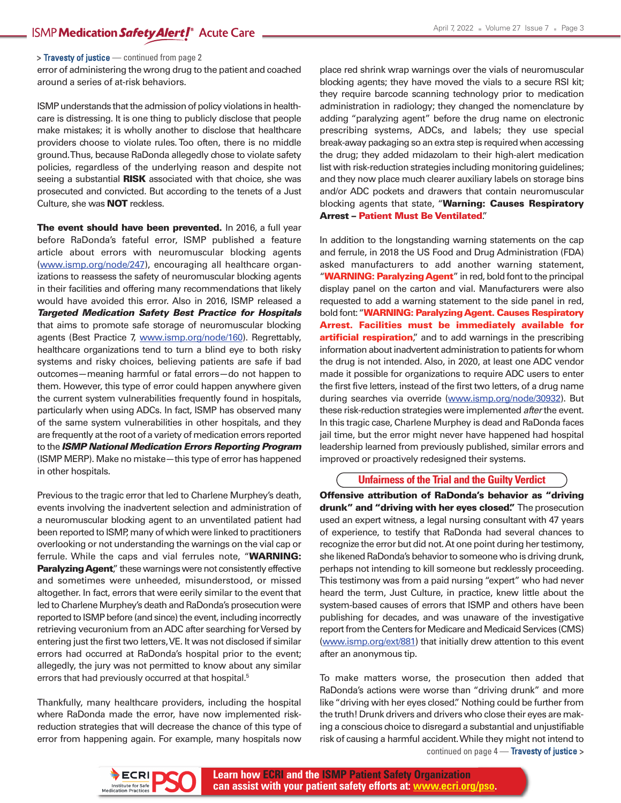**>** Travesty of justice — continued from page 2

error of administering the wrong drug to the patient and coached around a series of at-risk behaviors.

ISMP understands that the admission of policy violations in healthcare is distressing. It is one thing to publicly disclose that people make mistakes; it is wholly another to disclose that healthcare providers choose to violate rules.Too often, there is no middle ground.Thus, because RaDonda allegedly chose to violate safety policies, regardless of the underlying reason and despite not seeing a substantial **RISK** associated with that choice, she was prosecuted and convicted. But according to the tenets of a Just Culture, she was **NOT** reckless.

**The event should have been prevented.** In 2016, a full year before RaDonda's fateful error, ISMP published a feature article about errors with neuromuscular blocking agents (www.ismp.org/node/247), encouraging all healthcare organizations to reassess the safety of neuromuscular blocking agents in their facilities and offering many recommendations that likely would have avoided this error. Also in 2016, ISMP released a *Targeted Medication Safety Best Practice for Hospitals* that aims to promote safe storage of neuromuscular blocking agents (Best Practice 7, www.ismp.org/node/160). Regrettably, healthcare organizations tend to turn a blind eye to both risky systems and risky choices, believing patients are safe if bad outcomes—meaning harmful or fatal errors—do not happen to them. However, this type of error could happen anywhere given the current system vulnerabilities frequently found in hospitals, particularly when using ADCs. In fact, ISMP has observed many of the same system vulnerabilities in other hospitals, and they are frequently at the root of a variety of medication errors reported to the *ISMP National Medication Errors Reporting Program* (ISMP MERP). Make no mistake—this type of error has happened in other hospitals.

Previous to the tragic error that led to Charlene Murphey's death, events involving the inadvertent selection and administration of a neuromuscular blocking agent to an unventilated patient had been reported to ISMP, many of which were linked to practitioners overlooking or not understanding the warnings on the vial cap or ferrule. While the caps and vial ferrules note, "**WARNING:** Paralyzing Agent," these warnings were not consistently effective and sometimes were unheeded, misunderstood, or missed altogether. In fact, errors that were eerily similar to the event that led to Charlene Murphey's death and RaDonda's prosecution were reported to ISMP before (and since) the event, including incorrectly retrieving vecuronium from an ADC after searching for Versed by entering just the first two letters, VE. It was not disclosed if similar errors had occurred at RaDonda's hospital prior to the event; allegedly, the jury was not permitted to know about any similar errors that had previously occurred at that hospital. 5

Thankfully, many healthcare providers, including the hospital where RaDonda made the error, have now implemented riskreduction strategies that will decrease the chance of this type of error from happening again. For example, many hospitals now

place red shrink wrap warnings over the vials of neuromuscular blocking agents; they have moved the vials to a secure RSI kit; they require barcode scanning technology prior to medication administration in radiology; they changed the nomenclature by adding "paralyzing agent" before the drug name on electronic prescribing systems, ADCs, and labels; they use special break-away packaging so an extra step is required when accessing the drug; they added midazolam to their high-alert medication list with risk-reduction strategies including monitoring guidelines; and they now place much clearer auxiliary labels on storage bins and/or ADC pockets and drawers that contain neuromuscular blocking agents that state, "**Warning: Causes Respiratory Arrest – Patient Must Be Ventilated**."

In addition to the longstanding warning statements on the cap and ferrule, in 2018 the US Food and Drug Administration (FDA) asked manufacturers to add another warning statement, "**WARNING: Paralyzing Agent**" in red, bold font to the principal display panel on the carton and vial. Manufacturers were also requested to add a warning statement to the side panel in red, bold font:"**WARNING: ParalyzingAgent. Causes Respiratory Arrest. Facilities must be immediately available for artificial respiration**," and to add warnings in the prescribing information about inadvertent administration to patients for whom the drug is not intended. Also, in 2020, at least one ADC vendor made it possible for organizations to require ADC users to enter the first five letters, instead of the first two letters, of a drug name during searches via override (www.ismp.org/node/30932). But these risk-reduction strategies were implemented *after*the event. In this tragic case, Charlene Murphey is dead and RaDonda faces jail time, but the error might never have happened had hospital leadership learned from previously published, similar errors and improved or proactively redesigned their systems.

## **Unfairness of the Trial and the Guilty Verdict**

**Offensive attribution of RaDonda's behavior as "driving drunk" and "driving with her eyes closed".** The prosecution used an expert witness, a legal nursing consultant with 47 years of experience, to testify that RaDonda had several chances to recognize the error but did not. At one point during her testimony, she likened RaDonda's behavior to someone who is driving drunk, perhaps not intending to kill someone but recklessly proceeding. This testimony was from a paid nursing "expert" who had never heard the term, Just Culture, in practice, knew little about the system-based causes of errors that ISMP and others have been publishing for decades, and was unaware of the investigative report from the Centers for Medicare and Medicaid Services (CMS) (www.ismp.org/ext/881) that initially drew attention to this event after an anonymous tip.

To make matters worse, the prosecution then added that RaDonda's actions were worse than "driving drunk" and more like "driving with her eyes closed." Nothing could be further from the truth! Drunk drivers and drivers who close their eyes are making a conscious choice to disregard a substantial and unjustifiable risk of causing a harmful accident.While they might not intend to continued on page 4 — Travesty of justice **>**

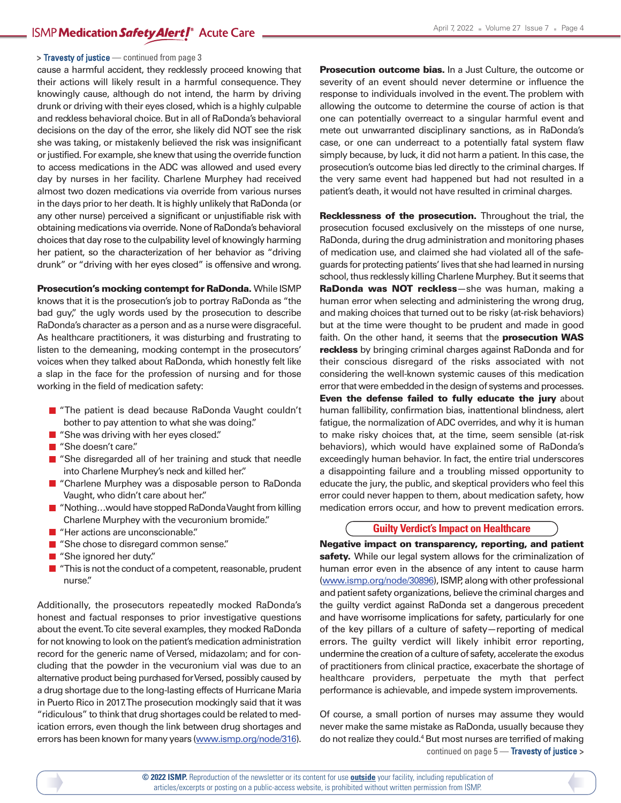#### **>** Travesty of justice — continued from page 3

cause a harmful accident, they recklessly proceed knowing that their actions will likely result in a harmful consequence. They knowingly cause, although do not intend, the harm by driving drunk or driving with their eyes closed, which is a highly culpable and reckless behavioral choice. But in all of RaDonda's behavioral decisions on the day of the error, she likely did NOT see the risk she was taking, or mistakenly believed the risk was insignificant or justified. For example, she knew that using the override function to access medications in the ADC was allowed and used every day by nurses in her facility. Charlene Murphey had received almost two dozen medications via override from various nurses in the days prior to her death. It is highly unlikely that RaDonda (or any other nurse) perceived a significant or unjustifiable risk with obtaining medications via override. None of RaDonda's behavioral choices that day rose to the culpability level of knowingly harming her patient, so the characterization of her behavior as "driving drunk" or "driving with her eyes closed" is offensive and wrong.

**Prosecution's mocking contempt for RaDonda.** While ISMP knows that it is the prosecution's job to portray RaDonda as "the bad guy," the ugly words used by the prosecution to describe RaDonda's character as a person and as a nurse were disgraceful. As healthcare practitioners, it was disturbing and frustrating to listen to the demeaning, mocking contempt in the prosecutors' voices when they talked about RaDonda, which honestly felt like a slap in the face for the profession of nursing and for those working in the field of medication safety:

- "The patient is dead because RaDonda Vaught couldn't bother to pay attention to what she was doing."
- "She was driving with her eyes closed."
- "She doesn't care."
- "She disregarded all of her training and stuck that needle into Charlene Murphey's neck and killed her."
- "Charlene Murphey was a disposable person to RaDonda Vaught, who didn't care about her."
- $\blacksquare$  "Nothing...would have stopped RaDonda Vaught from killing Charlene Murphey with the vecuronium bromide."
- "Her actions are unconscionable."
- "She chose to disregard common sense."
- "She ignored her duty."
- $\blacksquare$  "This is not the conduct of a competent, reasonable, prudent nurse."

Additionally, the prosecutors repeatedly mocked RaDonda's honest and factual responses to prior investigative questions about the event.To cite several examples, they mocked RaDonda for not knowing to look on the patient's medication administration record for the generic name of Versed, midazolam; and for concluding that the powder in the vecuronium vial was due to an alternative product being purchased for Versed, possibly caused by a drug shortage due to the long-lasting effects of Hurricane Maria in Puerto Rico in 2017.The prosecution mockingly said that it was "ridiculous" to think that drug shortages could be related to medication errors, even though the link between drug shortages and errors has been known for many years (www.ismp.org/node/316).

**Prosecution outcome bias.** In a Just Culture, the outcome or severity of an event should never determine or influence the response to individuals involved in the event.The problem with allowing the outcome to determine the course of action is that one can potentially overreact to a singular harmful event and mete out unwarranted disciplinary sanctions, as in RaDonda's case, or one can underreact to a potentially fatal system flaw simply because, by luck, it did not harm a patient. In this case, the prosecution's outcome bias led directly to the criminal charges. If the very same event had happened but had not resulted in a patient's death, it would not have resulted in criminal charges.

**Recklessness of the prosecution.** Throughout the trial, the prosecution focused exclusively on the missteps of one nurse, RaDonda, during the drug administration and monitoring phases of medication use, and claimed she had violated all of the safeguards for protecting patients' lives that she had learned in nursing school, thus recklessly killing Charlene Murphey. But it seems that **RaDonda was NOT reckless**—she was human, making a human error when selecting and administering the wrong drug, and making choices that turned out to be risky (at-risk behaviors) but at the time were thought to be prudent and made in good faith. On the other hand, it seems that the **prosecution WAS reckless** by bringing criminal charges against RaDonda and for their conscious disregard of the risks associated with not considering the well-known systemic causes of this medication error that were embedded in the design of systems and processes. **Even the defense failed to fully educate the jury** about human fallibility, confirmation bias, inattentional blindness, alert fatigue, the normalization of ADC overrides, and why it is human to make risky choices that, at the time, seem sensible (at-risk behaviors), which would have explained some of RaDonda's exceedingly human behavior. In fact, the entire trial underscores a disappointing failure and a troubling missed opportunity to educate the jury, the public, and skeptical providers who feel this error could never happen to them, about medication safety, how medication errors occur, and how to prevent medication errors.

## **Guilty Verdict's Impact on Healthcare**

**Negative impact on transparency, reporting, and patient** safety. While our legal system allows for the criminalization of human error even in the absence of any intent to cause harm (www.ismp.org/node/30896), ISMP, along with other professional and patient safety organizations, believe the criminal charges and the guilty verdict against RaDonda set a dangerous precedent and have worrisome implications for safety, particularly for one of the key pillars of a culture of safety—reporting of medical errors. The guilty verdict will likely inhibit error reporting, undermine the creation of a culture of safety, accelerate the exodus of practitioners from clinical practice, exacerbate the shortage of healthcare providers, perpetuate the myth that perfect performance is achievable, and impede system improvements.

Of course, a small portion of nurses may assume they would never make the same mistake as RaDonda, usually because they do not realize they could.<sup>4</sup> But most nurses are terrified of making continued on page 5 — Travesty of justice **>**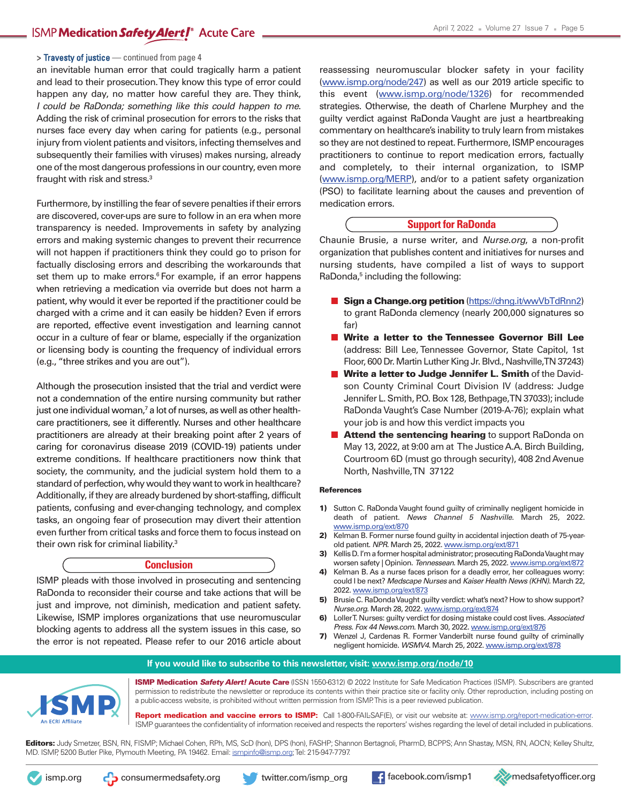## ISMP Medication Safety Alert<sup>®</sup> Acute Care

#### **>** Travesty of justice — continued from page 4

an inevitable human error that could tragically harm a patient and lead to their prosecution.They know this type of error could happen any day, no matter how careful they are. They think, *I could be RaDonda; something like this could happen to me*. Adding the risk of criminal prosecution for errors to the risks that nurses face every day when caring for patients (e.g., personal injury from violent patients and visitors, infecting themselves and subsequently their families with viruses) makes nursing, already one ofthe most dangerous professions in our country, even more fraught with risk and stress.<sup>3</sup>

Furthermore, by instilling the fear of severe penalties if their errors are discovered, cover-ups are sure to follow in an era when more transparency is needed. Improvements in safety by analyzing errors and making systemic changes to prevent their recurrence will not happen if practitioners think they could go to prison for factually disclosing errors and describing the workarounds that set them up to make errors.<sup>6</sup> For example, if an error happens when retrieving a medication via override but does not harm a patient, why would it ever be reported if the practitioner could be charged with a crime and it can easily be hidden? Even if errors are reported, effective event investigation and learning cannot occur in a culture of fear or blame, especially if the organization or licensing body is counting the frequency of individual errors (e.g., "three strikes and you are out").

Although the prosecution insisted that the trial and verdict were not a condemnation of the entire nursing community but rather just one individual woman, <sup>7</sup> a lot of nurses, as well as other healthcare practitioners, see it differently. Nurses and other healthcare practitioners are already at their breaking point after 2 years of caring for coronavirus disease 2019 (COVID-19) patients under extreme conditions. If healthcare practitioners now think that society, the community, and the judicial system hold them to a standard of perfection, why would they want to work in healthcare? Additionally, if they are already burdened by short-staffing, difficult patients, confusing and ever-changing technology, and complex tasks, an ongoing fear of prosecution may divert their attention even further from critical tasks and force them to focus instead on their own risk for criminal liability. 3

## **Conclusion**

ISMP pleads with those involved in prosecuting and sentencing RaDonda to reconsider their course and take actions that will be just and improve, not diminish, medication and patient safety. Likewise, ISMP implores organizations that use neuromuscular blocking agents to address all the system issues in this case, so the error is not repeated. Please refer to our 2016 article about

reassessing neuromuscular blocker safety in your facility (www.ismp.org/node/247) as well as our 2019 article specific to this event (www.ismp.org/node/1326) for recommended strategies. Otherwise, the death of Charlene Murphey and the guilty verdict against RaDonda Vaught are just a heartbreaking commentary on healthcare's inability to truly learn from mistakes so they are not destined to repeat. Furthermore, ISMP encourages practitioners to continue to report medication errors, factually and completely, to their internal organization, to ISMP (www.ismp.org/MERP), and/or to a patient safety organization (PSO) to facilitate learning about the causes and prevention of medication errors.

### **Support for RaDonda**

Chaunie Brusie, a nurse writer, and *Nurse.org*, a non-profit organization that publishes content and initiatives for nurses and nursing students, have compiled a list of ways to support RaDonda, <sup>5</sup> including the following:

- **Sign a Change.org petition**(https://chng.it/wwVbTdRnn2) to grant RaDonda clemency (nearly 200,000 signatures so far)
- **Write a letter to the Tennessee Governor Bill Lee** (address: Bill Lee, Tennessee Governor, State Capitol, 1st Floor, 600 Dr. Martin Luther King Jr. Blvd., Nashville, TN 37243)
- **Write a letter to Judge Jennifer L. Smith** of the Davidson County Criminal Court Division IV (address: Judge Jennifer L. Smith, P.O. Box 128, Bethpage, TN 37033); include RaDondaVaught's Case Number (2019-A-76); explain what your job is and how this verdict impacts you
- **Attend the sentencing hearing** to support RaDonda on May 13, 2022, at 9:00 am at The JusticeA.A. Birch Building, Courtroom 6D (must go through security), 408 2nd Avenue North, Nashville,TN 37122

#### **References**

- **1)** Sutton C. RaDonda Vaught found guilty of criminally negligent homicide in death of patient. *News Channel 5 Nashville*. March 25, 2022. www.ismp.org/ext/870
- **2)** Kelman B. Former nurse found guilty in accidental injection death of 75-yearold patient. *NPR*. March 25, 2022. www.ismp.org/ext/871
- **3)** Kellis D. I'm a former hospital administrator; prosecuting RaDonda Vaught may worsen safety | Opinion. *Tennessean*. March 25, 2022. [www.ismp.org/ext/872](http://www.ismp.org/ext/872)
- **4)** Kelman B. As a nurse faces prison for a deadly error, her colleagues worry: could I be next? *Medscape Nurses* and *Kaiser Health News (KHN)*. March 22, 2022. www.ismp.org/ext/873
- **5)** Brusie C. RaDonda Vaught guilty verdict: what's next? How to show support? *Nurse.org*. March 28, 2022. www.ismp.org/ext/874
- **6)** LollerT. Nurses: guilty verdict for dosing mistake could cost lives. *Associated Press. Fox 44 News.com*. March 30, 2022. www.ismp.org/ext/876
- **7)** Wenzel J, Cardenas R. Former Vanderbilt nurse found guilty of criminally negligent homicide. *WSMV4.* March 25, 2022. www.ismp.org/ext/878





**ISMP Medication** *Safety Alert!* **Acute Care** (ISSN 1550-6312) © 2022 Institute for Safe Medication Practices (ISMP). Subscribers are granted permission to redistribute the newsletter or reproduce its contents within their practice site or facility only. Other reproduction, including posting on a public-access website, is prohibited without written permission from ISMP.This is a peer reviewed publication.

**Report medication and vaccine errors to ISMP:** Call 1-800-FAIL-SAF(E), or visit our website at: www.ismp.org/report-medication-error. ISMP guarantees the confidentiality of information received and respects the reporters' wishes regarding the level of detail included in publications.

**Editors:** Judy Smetzer, BSN, RN, FISMP; Michael Cohen, RPh, MS, ScD (hon), DPS (hon), FASHP; Shannon Bertagnoli, PharmD, BCPPS;Ann Shastay, MSN, RN,AOCN; Kelley Shultz, MD. ISMP, 5200 Butler Pike, Plymouth Meeting, PA 19462. Email: ismpinfo@ismp.org;Tel: 215-947-7797.